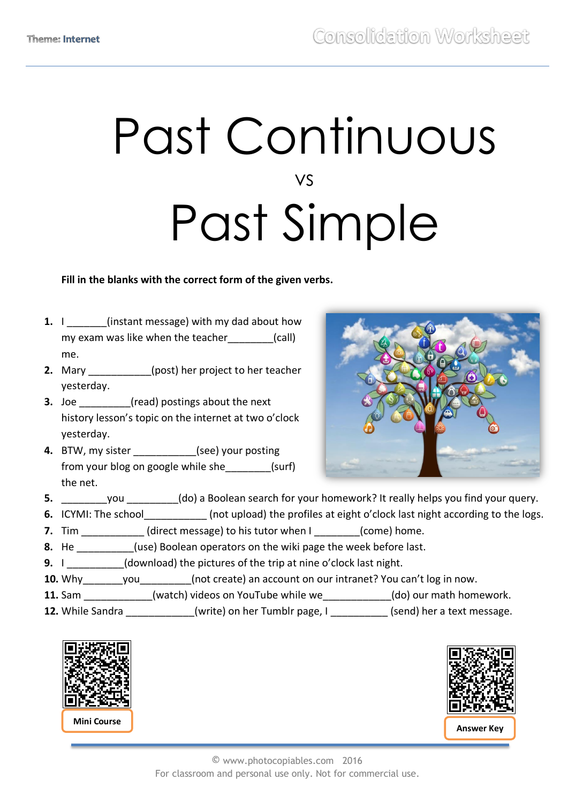# Past Continuous vs Past Simple

### **Fill in the blanks with the correct form of the given verbs.**

- **1.** I linstant message) with my dad about how my exam was like when the teacher (call) me.
- **2.** Mary \_\_\_\_\_\_\_\_\_\_\_(post) her project to her teacher yesterday.
- **3.** Joe *S* (read) postings about the next history lesson's topic on the internet at two o'clock yesterday.
- **4.** BTW, my sister (see) your posting from your blog on google while she\_\_\_\_\_\_\_\_(surf) the net.



- **5.** \_\_\_\_\_\_\_\_you \_\_\_\_\_\_\_\_\_(do) a Boolean search for your homework? It really helps you find your query.
- **6.** ICYMI: The school (not upload) the profiles at eight o'clock last night according to the logs.
- **7.** Tim  $\qquad$  (direct message) to his tutor when I  $\qquad$  (come) home.
- **8.** He **Example 20.** (use) Boolean operators on the wiki page the week before last.
- **9.** I \_\_\_\_\_\_\_\_\_(download) the pictures of the trip at nine o'clock last night.
- **10.** Why\_\_\_\_\_\_\_you\_\_\_\_\_\_\_\_\_(not create) an account on our intranet? You can't log in now.
- **11.** Sam \_\_\_\_\_\_\_\_\_\_\_\_(watch) videos on YouTube while we\_\_\_\_\_\_\_\_\_\_\_\_(do) our math homework.
- **12.** While Sandra **12.** While Sandra **and Musical** (write) on her Tumblr page, I and Send) her a text message.





© www.photocopiables.com 2016 For classroom and personal use only. Not for commercial use.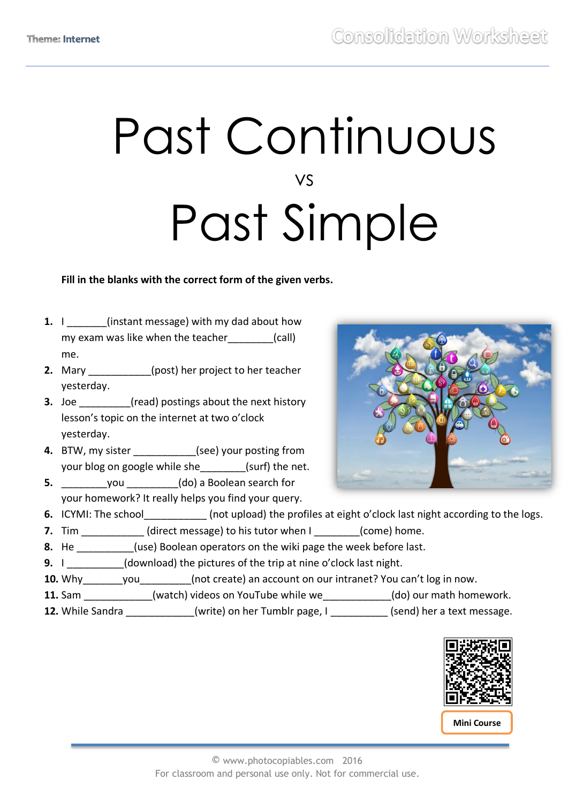# Past Continuous vs Past Simple

### **Fill in the blanks with the correct form of the given verbs.**

- **1.** I linstant message) with my dad about how my exam was like when the teacher (call) me.
- **2.** Mary \_\_\_\_\_\_\_\_\_\_\_(post) her project to her teacher yesterday.
- **3.** Joe *S* (read) postings about the next history lesson's topic on the internet at two o'clock yesterday.
- **4.** BTW, my sister **and its control (see)** your posting from your blog on google while she (surf) the net.
- **5. b** you  $(do)$  a Boolean search for your homework? It really helps you find your query.



- **6.** ICYMI: The school (not upload) the profiles at eight o'clock last night according to the logs.
- **7.** Tim  $\qquad$  (direct message) to his tutor when I  $\qquad$  (come) home.
- **8.** He **Example 20.** (use) Boolean operators on the wiki page the week before last.
- **9.** I \_\_\_\_\_\_\_\_\_(download) the pictures of the trip at nine o'clock last night.
- **10.** Why\_\_\_\_\_\_\_you\_\_\_\_\_\_\_\_\_(not create) an account on our intranet? You can't log in now.
- **11.** Sam \_\_\_\_\_\_\_\_\_\_\_\_(watch) videos on YouTube while we\_\_\_\_\_\_\_\_\_\_\_\_(do) our math homework.
- **12.** While Sandra **12.** While Sandra **and Musical** (write) on her Tumblr page, I and Send) her a text message.



**Mini Course**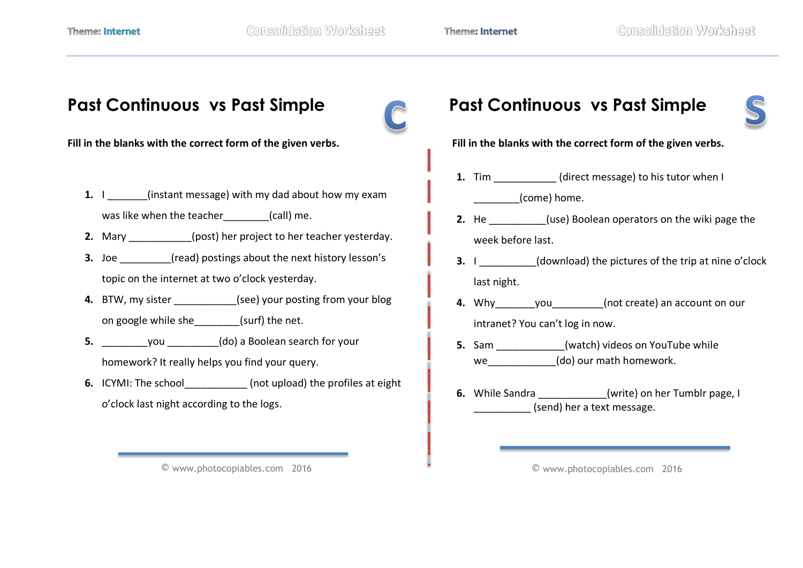

© www.photocopiables.com 2016

© www.photocopiables.com 2016